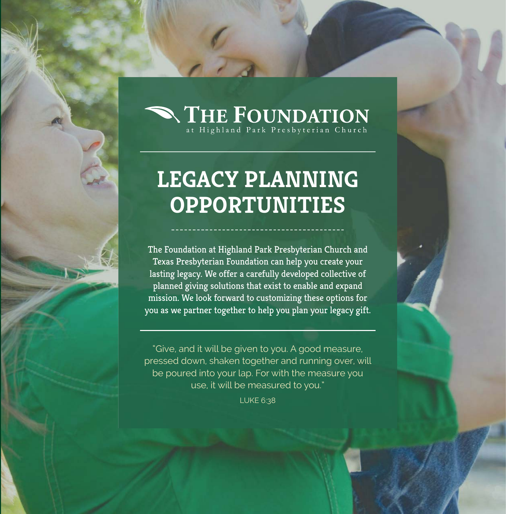# THE FOUNDATION

## **LEGACY PLANNING OPPORTUNITIES**

The Foundation at Highland Park Presbyterian Church and Texas Presbyterian Foundation can help you create your lasting legacy. We offer a carefully developed collective of planned giving solutions that exist to enable and expand mission. We look forward to customizing these options for you as we partner together to help you plan your legacy gift.

"Give, and it will be given to you. A good measure, pressed down, shaken together and running over, will be poured into your lap. For with the measure you use, it will be measured to you."

LUKE 6:38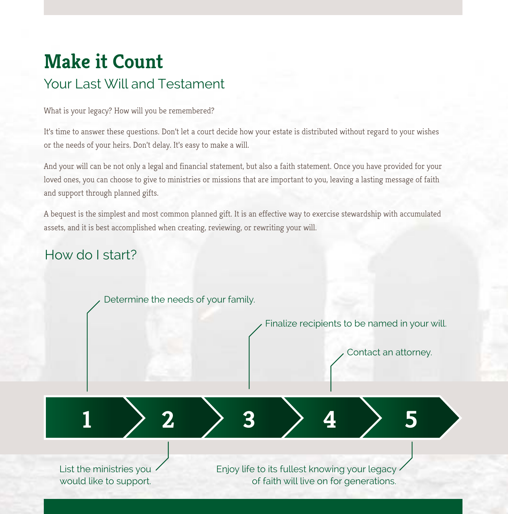### **Make it Count**  Your Last Will and Testament

What is your legacy? How will you be remembered?

It's time to answer these questions. Don't let a court decide how your estate is distributed without regard to your wishes or the needs of your heirs. Don't delay. It's easy to make a will.

And your will can be not only a legal and financial statement, but also a faith statement. Once you have provided for your loved ones, you can choose to give to ministries or missions that are important to you, leaving a lasting message of faith and support through planned gifts.

A bequest is the simplest and most common planned gift. It is an effective way to exercise stewardship with accumulated assets, and it is best accomplished when creating, reviewing, or rewriting your will.

#### How do I start?

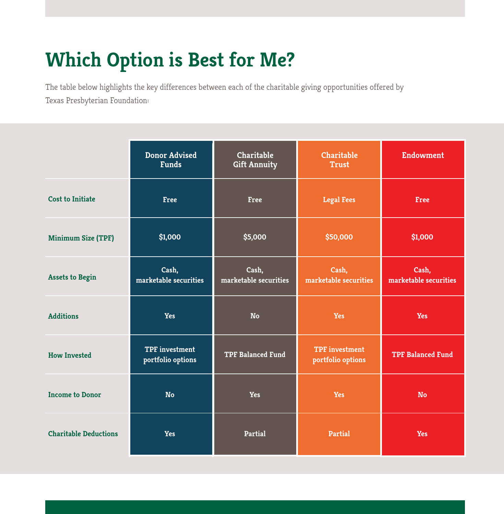### **Which Option is Best for Me?**

The table below highlights the key differences between each of the charitable giving opportunities offered by Texas Presbyterian Foundation:

|                              | <b>Donor Advised</b><br><b>Funds</b>       | Charitable<br><b>Gift Annuity</b> | Charitable<br><b>Trust</b>                 | <b>Endowment</b>               |
|------------------------------|--------------------------------------------|-----------------------------------|--------------------------------------------|--------------------------------|
| <b>Cost to Initiate</b>      | <b>Free</b>                                | Free                              | <b>Legal Fees</b>                          | <b>Free</b>                    |
| <b>Minimum Size (TPF)</b>    | \$1,000                                    | \$5,000                           | \$50,000                                   | \$1,000                        |
| <b>Assets to Begin</b>       | Cash,<br>marketable securities             | Cash,<br>marketable securities    | Cash,<br>marketable securities             | Cash,<br>marketable securities |
| <b>Additions</b>             | Yes                                        | <b>No</b>                         | Yes                                        | <b>Yes</b>                     |
| <b>How Invested</b>          | <b>TPF</b> investment<br>portfolio options | <b>TPF Balanced Fund</b>          | <b>TPF</b> investment<br>portfolio options | <b>TPF Balanced Fund</b>       |
| <b>Income to Donor</b>       | <b>No</b>                                  | <b>Yes</b>                        | Yes                                        | <b>No</b>                      |
| <b>Charitable Deductions</b> | <b>Yes</b>                                 | <b>Partial</b>                    | <b>Partial</b>                             | <b>Yes</b>                     |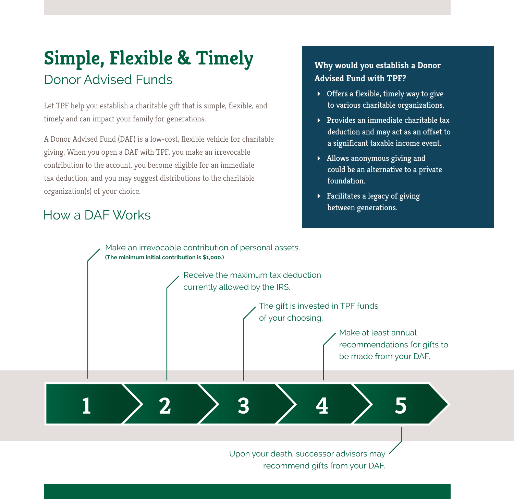### **Simple, Flexible & Timely** Donor Advised Funds

Let TPF help you establish a charitable gift that is simple, flexible, and timely and can impact your family for generations.

A Donor Advised Fund (DAF) is a low-cost, flexible vehicle for charitable giving. When you open a DAF with TPF, you make an irrevocable contribution to the account, you become eligible for an immediate tax deduction, and you may suggest distributions to the charitable organization(s) of your choice.

### between generations. How a DAF Works

#### **Why would you establish a Donor Advised Fund with TPF?**

- $\triangleright$  Offers a flexible, timely way to give to various charitable organizations.
- $\triangleright$  Provides an immediate charitable tax deduction and may act as an offset to a significant taxable income event.
- Allows anonymous giving and could be an alternative to a private foundation.
- $\blacktriangleright$  Facilitates a legacy of giving



Upon your death, successor advisors may recommend gifts from your DAF.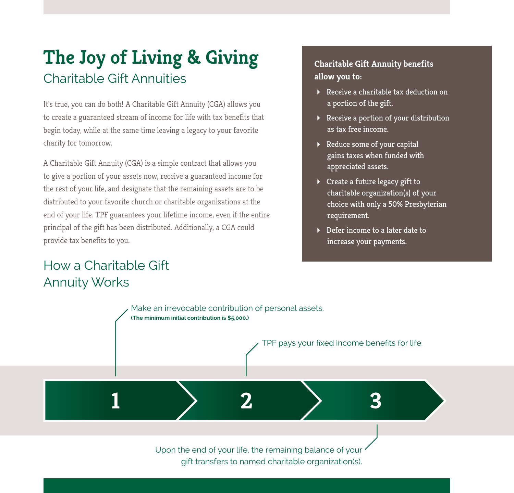### **The Joy of Living & Giving** Charitable Gift Annuities

It's true, you can do both! A Charitable Gift Annuity (CGA) allows you to create a guaranteed stream of income for life with tax benefits that begin today, while at the same time leaving a legacy to your favorite charity for tomorrow.

A Charitable Gift Annuity (CGA) is a simple contract that allows you to give a portion of your assets now, receive a guaranteed income for the rest of your life, and designate that the remaining assets are to be distributed to your favorite church or charitable organizations at the end of your life. TPF guarantees your lifetime income, even if the entire principal of the gift has been distributed. Additionally, a CGA could provide tax benefits to you.

### How a Charitable Gift Annuity Works

#### **Charitable Gift Annuity benefits allow you to:**

- Receive a charitable tax deduction on a portion of the gift.
- Receive a portion of your distribution as tax free income.
- Reduce some of your capital gains taxes when funded with appreciated assets.
- Create a future legacy gift to charitable organization(s) of your choice with only a 50% Presbyterian requirement.
- Defer income to a later date to increase your payments.



gift transfers to named charitable organization(s).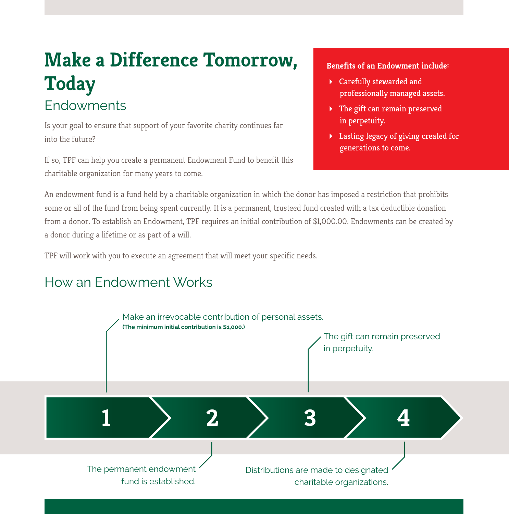### **Make a Difference Tomorrow, Today Endowments**

Is your goal to ensure that support of your favorite charity continues far into the future?

If so, TPF can help you create a permanent Endowment Fund to benefit this charitable organization for many years to come.

#### **Benefits of an Endowment include:**

- Carefully stewarded and professionally managed assets.
- The gift can remain preserved in perpetuity.
- Lasting legacy of giving created for generations to come.

An endowment fund is a fund held by a charitable organization in which the donor has imposed a restriction that prohibits some or all of the fund from being spent currently. It is a permanent, trusteed fund created with a tax deductible donation from a donor. To establish an Endowment, TPF requires an initial contribution of \$1,000.00. Endowments can be created by a donor during a lifetime or as part of a will.

TPF will work with you to execute an agreement that will meet your specific needs.

#### How an Endowment Works

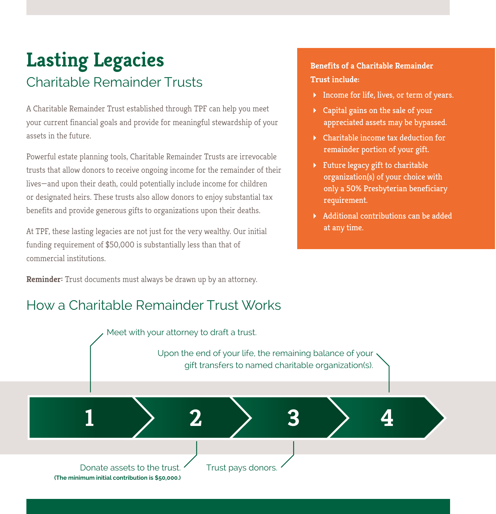### **Lasting Legacies**  Charitable Remainder Trusts

A Charitable Remainder Trust established through TPF can help you meet your current financial goals and provide for meaningful stewardship of your assets in the future.

Powerful estate planning tools, Charitable Remainder Trusts are irrevocable trusts that allow donors to receive ongoing income for the remainder of their lives—and upon their death, could potentially include income for children or designated heirs. These trusts also allow donors to enjoy substantial tax benefits and provide generous gifts to organizations upon their deaths.

At TPF, these lasting legacies are not just for the very wealthy. Our initial funding requirement of \$50,000 is substantially less than that of commercial institutions.

**Reminder:** Trust documents must always be drawn up by an attorney.

#### How a Charitable Remainder Trust Works

#### **Benefits of a Charitable Remainder Trust include:**

- Income for life, lives, or term of years.
- Capital gains on the sale of your appreciated assets may be bypassed.
- Charitable income tax deduction for remainder portion of your gift.
- $\blacktriangleright$  Future legacy gift to charitable organization(s) of your choice with only a 50% Presbyterian beneficiary requirement.
- Additional contributions can be added at any time.